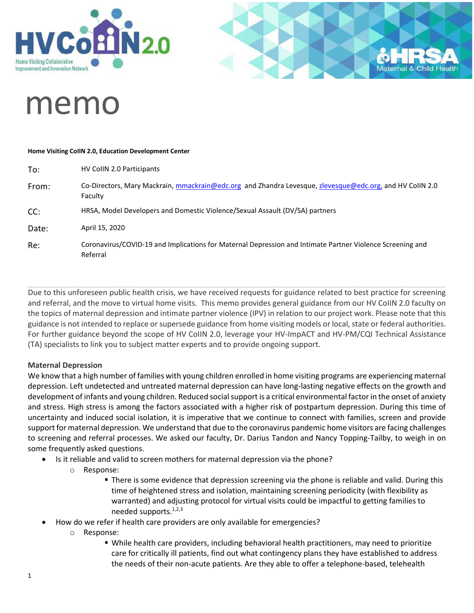



# memo

#### **Home Visiting CoIIN 2.0, Education Development Center**

| To:   | HV CollN 2.0 Participants                                                                                             |
|-------|-----------------------------------------------------------------------------------------------------------------------|
| From: | Co-Directors, Mary Mackrain, mmackrain@edc.org and Zhandra Levesque, zlevesque@edc.org, and HV CollN 2.0<br>Faculty   |
| CC:   | HRSA, Model Developers and Domestic Violence/Sexual Assault (DV/SA) partners                                          |
| Date: | April 15, 2020                                                                                                        |
| Re:   | Coronavirus/COVID-19 and Implications for Maternal Depression and Intimate Partner Violence Screening and<br>Referral |

Due to this unforeseen public health crisis, we have received requests for guidance related to best practice for screening and referral, and the move to virtual home visits. This memo provides general guidance from our HV CoIIN 2.0 faculty on the topics of maternal depression and intimate partner violence (IPV) in relation to our project work. Please note that this guidance is not intended to replace or supersede guidance from home visiting models or local, state or federal authorities. For further guidance beyond the scope of HV CoIIN 2.0, leverage your HV-ImpACT and HV-PM/CQI Technical Assistance (TA) specialists to link you to subject matter experts and to provide ongoing support.

#### **Maternal Depression**

We know that a high number of families with young children enrolled in home visiting programs are experiencing maternal depression. Left undetected and untreated maternal depression can have long-lasting negative effects on the growth and development of infants and young children. Reduced social support is a critical environmental factor in the onset of anxiety and stress. High stress is among the factors associated with a higher risk of postpartum depression. During this time of uncertainty and induced social isolation, it is imperative that we continue to connect with families, screen and provide support for maternal depression. We understand that due to the coronavirus pandemic home visitors are facing challenges to screening and referral processes. We asked our faculty, Dr. Darius Tandon and Nancy Topping-Tailby, to weigh in on some frequently asked questions.

- Is it reliable and valid to screen mothers for maternal depression via the phone?
	- o Response:
		- **There is some evidence that depression screening via the phone is reliable and valid. During this** time of heightened stress and isolation, maintaining screening periodicity (with flexibility as warranted) and adjusting protocol for virtual visits could be impactful to getting families to needed supports.1,2,3
- How do we refer if health care providers are only available for emergencies?
	- o Response:
		- While health care providers, including behavioral health practitioners, may need to prioritize care for critically ill patients, find out what contingency plans they have established to address the needs of their non-acute patients. Are they able to offer a telephone-based, telehealth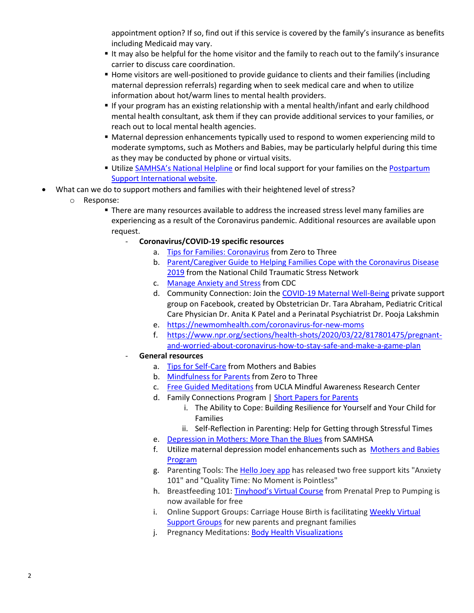appointment option? If so, find out if this service is covered by the family's insurance as benefits including Medicaid may vary.

- It may also be helpful for the home visitor and the family to reach out to the family's insurance carrier to discuss care coordination.
- Home visitors are well-positioned to provide guidance to clients and their families (including maternal depression referrals) regarding when to seek medical care and when to utilize information about hot/warm lines to mental health providers.
- If your program has an existing relationship with a mental health/infant and early childhood mental health consultant, ask them if they can provide additional services to your families, or reach out to local mental health agencies.
- Maternal depression enhancements typically used to respond to women experiencing mild to moderate symptoms, such as Mothers and Babies, may be particularly helpful during this time as they may be conducted by phone or virtual visits.
- **EXTENDING IN A Utilize [SAMHSA's National Helpline](https://www.samhsa.gov/find-help/national-helpline) or find local support for your families on the Postpartum** [Support International website.](https://www.postpartum.net/)
- What can we do to support mothers and families with their heightened level of stress?
	- o Response:
		- **There are many resources available to address the increased stress level many families are** experiencing as a result of the Coronavirus pandemic. Additional resources are available upon request.
			- **Coronavirus/COVID-19 specific resources**
				- a. [Tips for Families: Coronavirus](https://www.zerotothree.org/resources/3210-tips-for-families-coronavirus#chapter-2444) from Zero to Three
				- b. [Parent/Caregiver Guide to Helping Families Cope with the Coronavirus Disease](https://www.nctsn.org/resources/parent-caregiver-guide-to-helping-families-cope-with-the-coronavirus-disease-2019)  [2019](https://www.nctsn.org/resources/parent-caregiver-guide-to-helping-families-cope-with-the-coronavirus-disease-2019) from the National Child Traumatic Stress Network
				- c. [Manage Anxiety and Stress](https://www.cdc.gov/coronavirus/2019-ncov/prepare/managing-stress-anxiety.html) from CDC
				- d. Community Connection: Join the [COVID-19 Maternal Well-Being](https://urldefense.com/v3/__https:/northwestern.us20.list-manage.com/track/click?u=5fd4b18508d4ce9bff0841add&id=8c4c165c26&e=636fc48468__;!!Dq0X2DkFhyF93HkjWTBQKhk!BzZeBx1thMM1mPHFb-hL5al6up_G8uONB_DKwxaSpbQNtDe34SiFgVlOGtiEPmjdonrn$) private support group on Facebook, created by Obstetrician Dr. Tara Abraham, Pediatric Critical Care Physician Dr. Anita K Patel and a Perinatal Psychiatrist Dr. Pooja Lakshmin
				- e. <https://newmomhealth.com/coronavirus-for-new-moms>
				- f. [https://www.npr.org/sections/health-shots/2020/03/22/817801475/pregnant](https://www.npr.org/sections/health-shots/2020/03/22/817801475/pregnant-and-worried-about-coronavirus-how-to-stay-safe-and-make-a-game-plan)[and-worried-about-coronavirus-how-to-stay-safe-and-make-a-game-plan](https://www.npr.org/sections/health-shots/2020/03/22/817801475/pregnant-and-worried-about-coronavirus-how-to-stay-safe-and-make-a-game-plan)
			- **General resources** 
				- a. [Tips for Self-Care](https://www.mothersandbabiesprogram.org/mothers-clients/tips-activities/) from Mothers and Babies
				- b. [Mindfulness for Parents](https://www.zerotothree.org/resources/2268-mindfulness-for-parents) from Zero to Three
				- c. [Free Guided Meditations](https://www.uclahealth.org/marc/mindful-meditations) from UCLA Mindful Awareness Research Center
				- d. Family Connections Program | [Short Papers for Parents](http://www.childrenshospital.org/centers-and-services/programs/f-_-n/family-connections-program/for-professionals/short-papers-for-parents)
					- i. The Ability to Cope: Building Resilience for Yourself and Your Child for Families
					- ii. Self-Reflection in Parenting: Help for Getting through Stressful Times
				- e. [Depression in Mothers: More Than the Blues](https://store.samhsa.gov/product/Depression-in-Mothers-More-Than-the-Blues/sma14-4878) from SAMHSA
				- f. Utilize maternal depression model enhancements such as [Mothers and Babies](https://www.mothersandbabiesprogram.org/)  [Program](https://www.mothersandbabiesprogram.org/)
				- g. Parenting Tools: The [Hello Joey](https://apps.apple.com/us/app/hellojoey-parenting-app/id1204077580) app has released two free support kits "Anxiety 101" and "Quality Time: No Moment is Pointless"
				- h. Breastfeeding 101: Tinyhood's [Virtual Course](https://urldefense.com/v3/__https:/northwestern.us20.list-manage.com/track/click?u=5fd4b18508d4ce9bff0841add&id=8365676493&e=636fc48468__;!!Dq0X2DkFhyF93HkjWTBQKhk!BzZeBx1thMM1mPHFb-hL5al6up_G8uONB_DKwxaSpbQNtDe34SiFgVlOGtiEPjDTcWXU$) from Prenatal Prep to Pumping is now available for free
				- i. Online Support Groups: Carriage House Birth is facilitating [Weekly Virtual](https://urldefense.com/v3/__https:/northwestern.us20.list-manage.com/track/click?u=5fd4b18508d4ce9bff0841add&id=fb58e1e467&e=636fc48468__;!!Dq0X2DkFhyF93HkjWTBQKhk!BzZeBx1thMM1mPHFb-hL5al6up_G8uONB_DKwxaSpbQNtDe34SiFgVlOGtiEPk3mTlXj$)  [Support Groups](https://urldefense.com/v3/__https:/northwestern.us20.list-manage.com/track/click?u=5fd4b18508d4ce9bff0841add&id=fb58e1e467&e=636fc48468__;!!Dq0X2DkFhyF93HkjWTBQKhk!BzZeBx1thMM1mPHFb-hL5al6up_G8uONB_DKwxaSpbQNtDe34SiFgVlOGtiEPk3mTlXj$) for new parents and pregnant families
				- j. Pregnancy Meditations: [Body Health Visualizations](https://www.youtube.com/watch?v=Y2MvEsWPvbg&t=2s)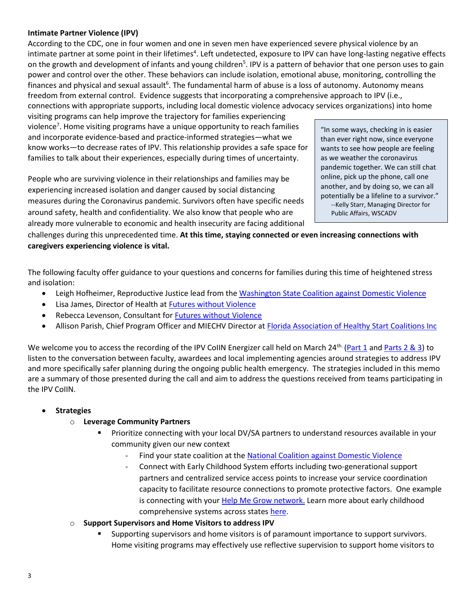#### **Intimate Partner Violence (IPV)**

According to the CDC, one in four women and one in seven men have experienced severe physical violence by an intimate partner at some point in their lifetimes<sup>4</sup>. Left undetected, exposure to IPV can have long-lasting negative effects on the growth and development of infants and young children<sup>5</sup>. IPV is a pattern of behavior that one person uses to gain power and control over the other. These behaviors can include isolation, emotional abuse, monitoring, controlling the finances and physical and sexual assault<sup>6</sup>. The fundamental harm of abuse is a loss of autonomy. Autonomy means freedom from external control. Evidence suggests that incorporating a comprehensive approach to IPV (i.e., connections with appropriate supports, including local domestic violence advocacy services organizations) into home

visiting programs can help improve the trajectory for families experiencing violence<sup>7</sup>. Home visiting programs have a unique opportunity to reach families and incorporate evidence-based and practice-informed strategies—what we know works—to decrease rates of IPV. This relationship provides a safe space for families to talk about their experiences, especially during times of uncertainty.

People who are surviving violence in their relationships and families may be experiencing increased isolation and danger caused by social distancing measures during the Coronavirus pandemic. Survivors often have specific needs around safety, health and confidentiality. We also know that people who are already more vulnerable to economic and health insecurity are facing additional "In some ways, checking in is easier than ever right now, since everyone wants to see how people are feeling as we weather the coronavirus pandemic together. We can still chat online, pick up the phone, call one another, and by doing so, we can all potentially be a lifeline to a survivor." --Kelly Starr, Managing Director for Public Affairs, WSCADV

challenges during this unprecedented time. **At this time, staying connected or even increasing connections with caregivers experiencing violence is vital.**

The following faculty offer guidance to your questions and concerns for families during this time of heightened stress and isolation:

- Leigh Hofheimer, Reproductive Justice lead from the [Washington State Coalition against Domestic Violence](https://wscadv.org/)
- Lisa James, Director of Health at [Futures without Violence](https://www.futureswithoutviolence.org/)
- Rebecca Levenson, Consultant for **Futures without Violence**
- Allison Parish, Chief Program Officer and MIECHV Director at [Florida Association of Healthy Start Coalitions Inc](https://www.healthystartflorida.com/)

We welcome you to access the recording of the IPV CoIIN Energizer call held on March 24<sup>th.</sup> [\(Part 1](https://drive.google.com/file/d/1chSE4TzS5cA91s1S9dHDLGGDXnThdvVp/view?usp=sharing) an[d Parts 2 & 3\)](https://drive.google.com/file/d/1Kj8EE-SfIi7uriqilv9ywHUEokrgtzI2/view?usp=sharing) to listen to the conversation between faculty, awardees and local implementing agencies around strategies to address IPV and more specifically safer planning during the ongoing public health emergency. The strategies included in this memo are a summary of those presented during the call and aim to address the questions received from teams participating in the IPV CoIIN.

#### • **Strategies**

#### o **Leverage Community Partners**

- Prioritize connecting with your local DV/SA partners to understand resources available in your community given our new context
	- Find your state coalition at the [National Coalition against Domestic Violence](https://ncadv.org/state-coalitions)
	- Connect with Early Childhood System efforts including two-generational support partners and centralized service access points to increase your service coordination capacity to facilitate resource connections to promote protective factors. One example is connecting with your **Help Me Grow network**. Learn more about early childhood comprehensive systems across states [here.](https://mchb.hrsa.gov/earlychildhoodcomprehensivesystems)
- o **Support Supervisors and Home Visitors to address IPV** 
	- Supporting supervisors and home visitors is of paramount importance to support survivors. Home visiting programs may effectively use reflective supervision to support home visitors to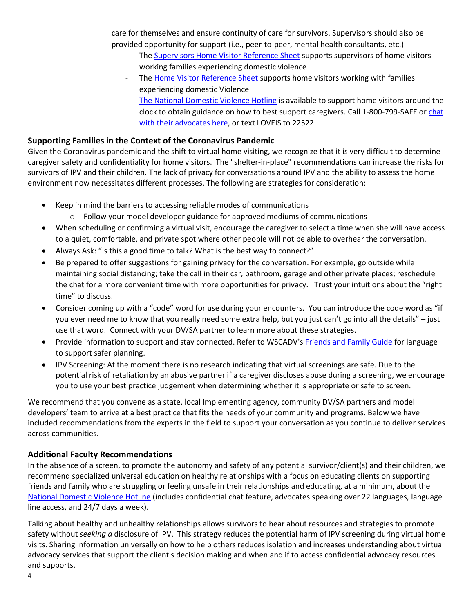care for themselves and ensure continuity of care for survivors. Supervisors should also be provided opportunity for support (i.e., peer-to-peer, mental health consultants, etc.)

- The [Supervisors Home Visitor Reference Sheet](https://wscadv.org/resources/supervisors-of-home-visitors-reference-sheet/) supports supervisors of home visitors working families experiencing domestic violence
- The [Home Visitor Reference Sheet](https://wscadv.org/resources/home-visitors-domestic-violence/) supports home visitors working with families experiencing domestic Violence
- [The National Domestic Violence Hotline](http://www.thehotline.org/) is available to support home visitors around the clock to obtain guidance on how to best support caregivers. Call 1-800-799-SAFE or [chat](https://www.thehotline.org/what-is-live-chat/)  [with their advocates here,](https://www.thehotline.org/what-is-live-chat/) or text LOVEIS to 22522

### **Supporting Families in the Context of the Coronavirus Pandemic**

Given the Coronavirus pandemic and the shift to virtual home visiting, we recognize that it is very difficult to determine caregiver safety and confidentiality for home visitors. The "shelter-in-place" recommendations can increase the risks for survivors of IPV and their children. The lack of privacy for conversations around IPV and the ability to assess the home environment now necessitates different processes. The following are strategies for consideration:

- Keep in mind the barriers to accessing reliable modes of communications
	- $\circ$  Follow your model developer guidance for approved mediums of communications
- When scheduling or confirming a virtual visit, encourage the caregiver to select a time when she will have access to a quiet, comfortable, and private spot where other people will not be able to overhear the conversation.
- Always Ask: "Is this a good time to talk? What is the best way to connect?"
- Be prepared to offer suggestions for gaining privacy for the conversation. For example, go outside while maintaining social distancing; take the call in their car, bathroom, garage and other private places; reschedule the chat for a more convenient time with more opportunities for privacy. Trust your intuitions about the "right time" to discuss.
- Consider coming up with a "code" word for use during your encounters. You can introduce the code word as "if you ever need me to know that you really need some extra help, but you just can't go into all the details" – just use that word. Connect with your DV/SA partner to learn more about these strategies.
- Provide information to support and stay connected. Refer to WSCADV's Friends and [Family Guide](https://wscadv.org/news/new-resource-friends-family-guide-for-helping-someone-in-an-abusive-relationship/) for language to support safer planning.
- IPV Screening: At the moment there is no research indicating that virtual screenings are safe. Due to the potential risk of retaliation by an abusive partner if a caregiver discloses abuse during a screening, we encourage you to use your best practice judgement when determining whether it is appropriate or safe to screen.

We recommend that you convene as a state, local Implementing agency, community DV/SA partners and model developers' team to arrive at a best practice that fits the needs of your community and programs. Below we have included recommendations from the experts in the field to support your conversation as you continue to deliver services across communities.

#### **Additional Faculty Recommendations**

In the absence of a screen, to promote the autonomy and safety of any potential survivor/client(s) and their children, we recommend specialized universal education on healthy relationships with a focus on educating clients on supporting friends and family who are struggling or feeling unsafe in their relationships and educating, at a minimum, about the [National Domestic Violence Hotline](https://www.thehotline.org/help/) (includes confidential chat feature, advocates speaking over 22 languages, language line access, and 24/7 days a week).

Talking about healthy and unhealthy relationships allows survivors to hear about resources and strategies to promote safety without *seeking a* disclosure of IPV. This strategy reduces the potential harm of IPV screening during virtual home visits. Sharing information universally on how to help others reduces isolation and increases understanding about virtual advocacy services that support the client's decision making and when and if to access confidential advocacy resources and supports.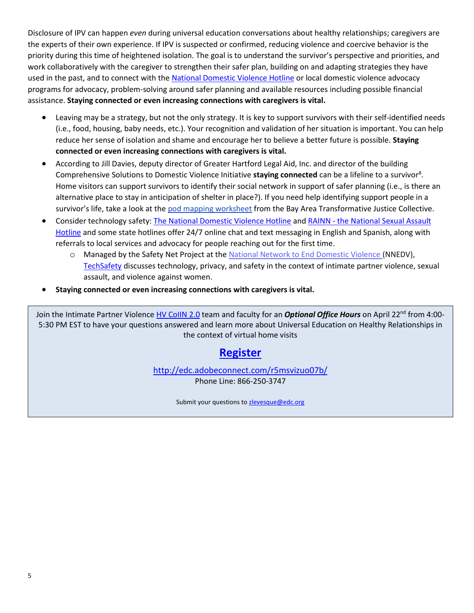Disclosure of IPV can happen *even* during universal education conversations about healthy relationships; caregivers are the experts of their own experience. If IPV is suspected or confirmed, reducing violence and coercive behavior is the priority during this time of heightened isolation. The goal is to understand the survivor's perspective and priorities, and work collaboratively with the caregiver to strengthen their safer plan, building on and adapting strategies they have used in the past, and to connect with th[e National Domestic Violence Hotline](https://www.thehotline.org/help/) or local domestic violence advocacy programs for advocacy, problem-solving around safer planning and available resources including possible financial assistance. **Staying connected or even increasing connections with caregivers is vital.**

- Leaving may be a strategy, but not the only strategy. It is key to support survivors with their self-identified needs (i.e., food, housing, baby needs, etc.). Your recognition and validation of her situation is important. You can help reduce her sense of isolation and shame and encourage her to believe a better future is possible. **Staying connected or even increasing connections with caregivers is vital.**
- According to Jill Davies, deputy director of Greater Hartford Legal Aid, Inc. and director of the building Comprehensive Solutions to Domestic Violence Initiative staying connected can be a lifeline to a survivor<sup>8</sup>. Home visitors can support survivors to identify their social network in support of safer planning (i.e., is there an alternative place to stay in anticipation of shelter in place?). If you need help identifying support people in a survivor's life, take a look at the [pod mapping worksheet](https://batjc.wordpress.com/pods-and-pod-mapping-worksheet/) from the Bay Area Transformative Justice Collective.
- Consider technology safety: The National [Domestic Violence Hotline](http://www.thehotline.org/) and RAINN the National Sexual Assault [Hotline](https://hotline.rainn.org/online) and some state hotlines offer 24/7 online chat and text messaging in English and Spanish, along with referrals to local services and advocacy for people reaching out for the first time.
	- o Managed by the Safety Net Project at th[e National Network to End Domestic Violence \(](http://nnedv.org/)NNEDV), [TechSafety](https://www.techsafety.org/digital-services-toolkit) discusses technology, privacy, and safety in the context of intimate partner violence, sexual assault, and violence against women.
- **Staying connected or even increasing connections with caregivers is vital.**

Join the Intimate Partner Violence HV [CoIIN 2.0](http://hv-coiin.edc.org/) team and faculty for an *Optional Office Hours* on April 22nd from 4:00- 5:30 PM EST to have your questions answered and learn more about Universal Education on Healthy Relationships in the context of virtual home visits

## **[Register](https://forms.gle/dKR9KoR9pVmiEjGk6)**

<http://edc.adobeconnect.com/r5msvizuo07b/>

Phone Line: 866-250-3747

Submit your questions to [zlevesque@edc.org](mailto:zlevesque@edc.org)